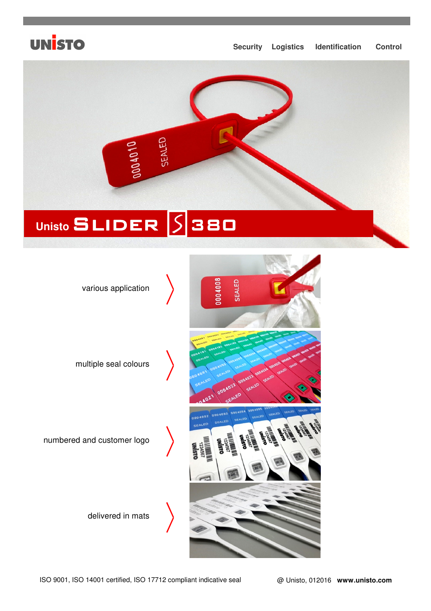